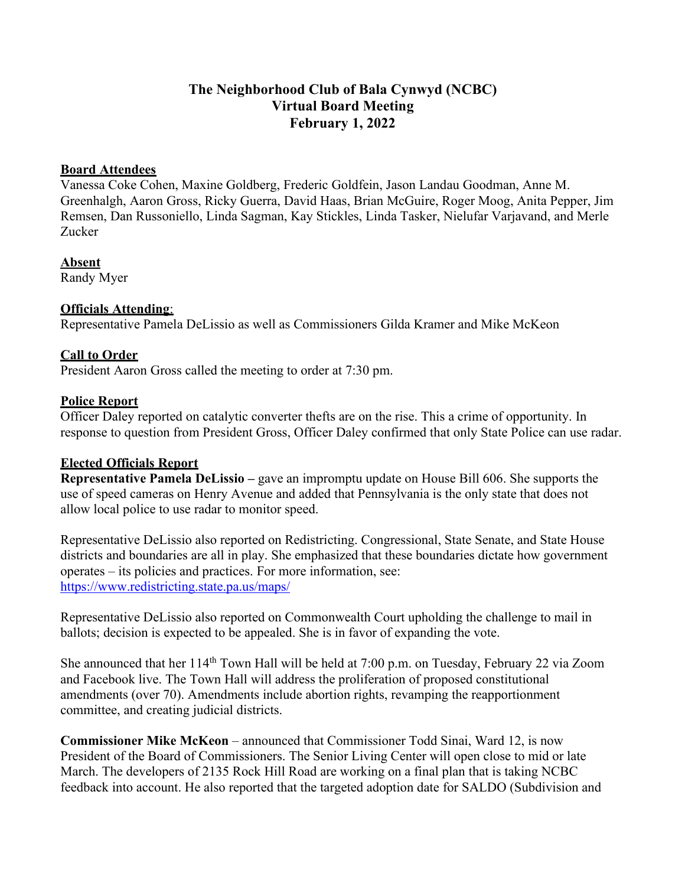## **The Neighborhood Club of Bala Cynwyd (NCBC) Virtual Board Meeting February 1, 2022**

#### **Board Attendees**

Vanessa Coke Cohen, Maxine Goldberg, Frederic Goldfein, Jason Landau Goodman, Anne M. Greenhalgh, Aaron Gross, Ricky Guerra, David Haas, Brian McGuire, Roger Moog, Anita Pepper, Jim Remsen, Dan Russoniello, Linda Sagman, Kay Stickles, Linda Tasker, Nielufar Varjavand, and Merle Zucker

#### **Absent**

Randy Myer

## **Officials Attending**:

Representative Pamela DeLissio as well as Commissioners Gilda Kramer and Mike McKeon

## **Call to Order**

President Aaron Gross called the meeting to order at 7:30 pm.

### **Police Report**

Officer Daley reported on catalytic converter thefts are on the rise. This a crime of opportunity. In response to question from President Gross, Officer Daley confirmed that only State Police can use radar.

### **Elected Officials Report**

**Representative Pamela DeLissio –** gave an impromptu update on House Bill 606. She supports the use of speed cameras on Henry Avenue and added that Pennsylvania is the only state that does not allow local police to use radar to monitor speed.

Representative DeLissio also reported on Redistricting. Congressional, State Senate, and State House districts and boundaries are all in play. She emphasized that these boundaries dictate how government operates – its policies and practices. For more information, see: <https://www.redistricting.state.pa.us/maps/>

Representative DeLissio also reported on Commonwealth Court upholding the challenge to mail in ballots; decision is expected to be appealed. She is in favor of expanding the vote.

She announced that her 114<sup>th</sup> Town Hall will be held at 7:00 p.m. on Tuesday, February 22 via Zoom and Facebook live. The Town Hall will address the proliferation of proposed constitutional amendments (over 70). Amendments include abortion rights, revamping the reapportionment committee, and creating judicial districts.

**Commissioner Mike McKeon** – announced that Commissioner Todd Sinai, Ward 12, is now President of the Board of Commissioners. The Senior Living Center will open close to mid or late March. The developers of 2135 Rock Hill Road are working on a final plan that is taking NCBC feedback into account. He also reported that the targeted adoption date for SALDO (Subdivision and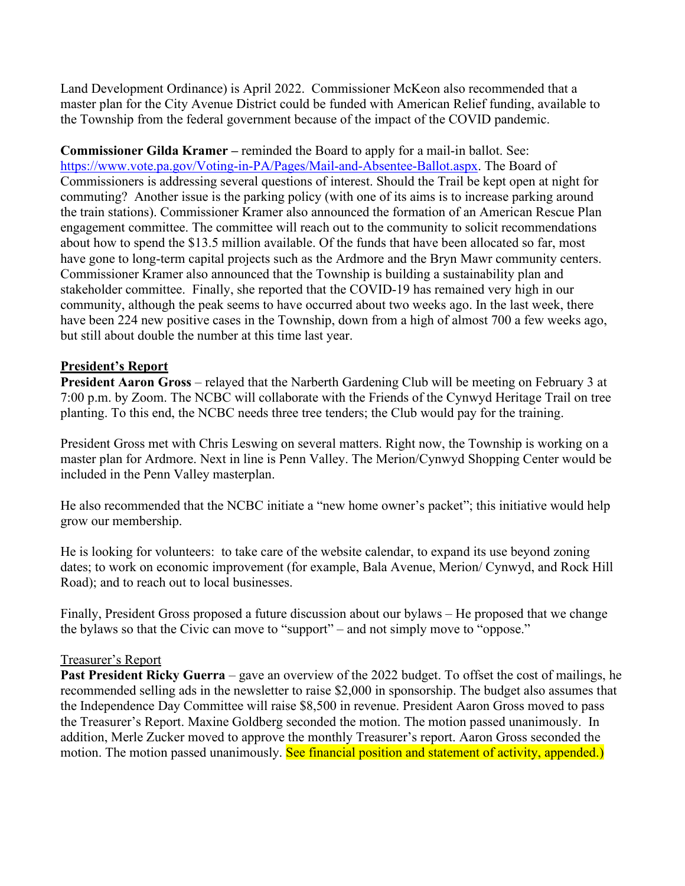Land Development Ordinance) is April 2022. Commissioner McKeon also recommended that a master plan for the City Avenue District could be funded with American Relief funding, available to the Township from the federal government because of the impact of the COVID pandemic.

**Commissioner Gilda Kramer –** reminded the Board to apply for a mail-in ballot. See: [https://www.vote.pa.gov/Voting-in-PA/Pages/Mail-and-Absentee-Ballot.aspx.](https://www.vote.pa.gov/Voting-in-PA/Pages/Mail-and-Absentee-Ballot.aspx) The Board of Commissioners is addressing several questions of interest. Should the Trail be kept open at night for commuting? Another issue is the parking policy (with one of its aims is to increase parking around the train stations). Commissioner Kramer also announced the formation of an American Rescue Plan engagement committee. The committee will reach out to the community to solicit recommendations about how to spend the \$13.5 million available. Of the funds that have been allocated so far, most have gone to long-term capital projects such as the Ardmore and the Bryn Mawr community centers. Commissioner Kramer also announced that the Township is building a sustainability plan and stakeholder committee. Finally, she reported that the COVID-19 has remained very high in our community, although the peak seems to have occurred about two weeks ago. In the last week, there have been 224 new positive cases in the Township, down from a high of almost 700 a few weeks ago, but still about double the number at this time last year.

### **President's Report**

**President Aaron Gross** – relayed that the Narberth Gardening Club will be meeting on February 3 at 7:00 p.m. by Zoom. The NCBC will collaborate with the Friends of the Cynwyd Heritage Trail on tree planting. To this end, the NCBC needs three tree tenders; the Club would pay for the training.

President Gross met with Chris Leswing on several matters. Right now, the Township is working on a master plan for Ardmore. Next in line is Penn Valley. The Merion/Cynwyd Shopping Center would be included in the Penn Valley masterplan.

He also recommended that the NCBC initiate a "new home owner's packet"; this initiative would help grow our membership.

He is looking for volunteers: to take care of the website calendar, to expand its use beyond zoning dates; to work on economic improvement (for example, Bala Avenue, Merion/ Cynwyd, and Rock Hill Road); and to reach out to local businesses.

Finally, President Gross proposed a future discussion about our bylaws – He proposed that we change the bylaws so that the Civic can move to "support" – and not simply move to "oppose."

#### Treasurer's Report

**Past President Ricky Guerra** – gave an overview of the 2022 budget. To offset the cost of mailings, he recommended selling ads in the newsletter to raise \$2,000 in sponsorship. The budget also assumes that the Independence Day Committee will raise \$8,500 in revenue. President Aaron Gross moved to pass the Treasurer's Report. Maxine Goldberg seconded the motion. The motion passed unanimously. In addition, Merle Zucker moved to approve the monthly Treasurer's report. Aaron Gross seconded the motion. The motion passed unanimously. See financial position and statement of activity, appended.)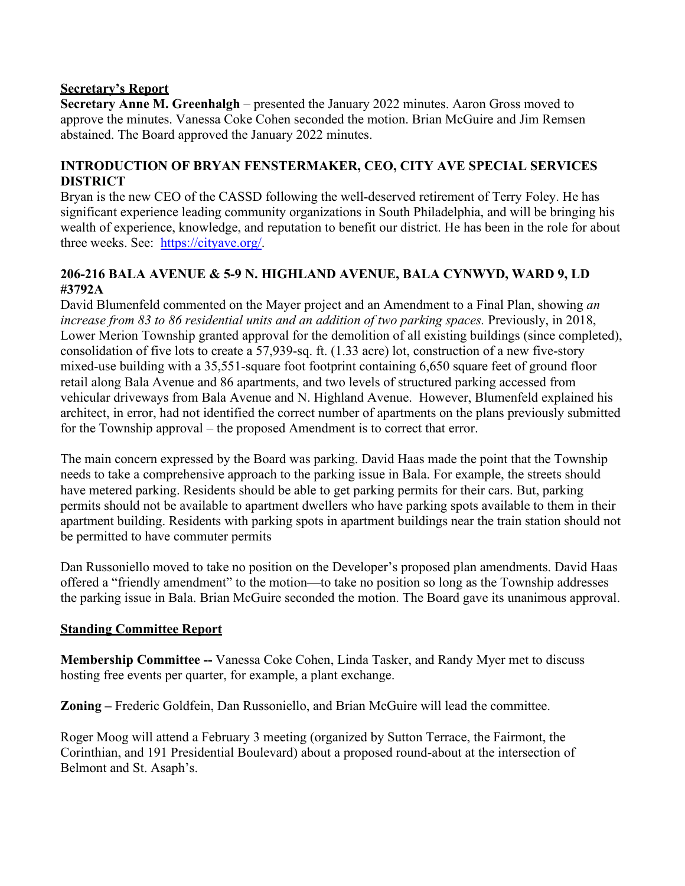### **Secretary's Report**

**Secretary Anne M. Greenhalgh** – presented the January 2022 minutes. Aaron Gross moved to approve the minutes. Vanessa Coke Cohen seconded the motion. Brian McGuire and Jim Remsen abstained. The Board approved the January 2022 minutes.

### **INTRODUCTION OF BRYAN FENSTERMAKER, CEO, CITY AVE SPECIAL SERVICES DISTRICT**

Bryan is the new CEO of the CASSD following the well-deserved retirement of Terry Foley. He has significant experience leading community organizations in South Philadelphia, and will be bringing his wealth of experience, knowledge, and reputation to benefit our district. He has been in the role for about three weeks. See: [https://cityave.org/.](https://cityave.org/)

## **206-216 BALA AVENUE & 5-9 N. HIGHLAND AVENUE, BALA CYNWYD, WARD 9, LD #3792A**

David Blumenfeld commented on the Mayer project and an Amendment to a Final Plan, showing *an increase from 83 to 86 residential units and an addition of two parking spaces.* Previously, in 2018, Lower Merion Township granted approval for the demolition of all existing buildings (since completed), consolidation of five lots to create a 57,939-sq. ft. (1.33 acre) lot, construction of a new five-story mixed-use building with a 35,551-square foot footprint containing 6,650 square feet of ground floor retail along Bala Avenue and 86 apartments, and two levels of structured parking accessed from vehicular driveways from Bala Avenue and N. Highland Avenue. However, Blumenfeld explained his architect, in error, had not identified the correct number of apartments on the plans previously submitted for the Township approval – the proposed Amendment is to correct that error.

The main concern expressed by the Board was parking. David Haas made the point that the Township needs to take a comprehensive approach to the parking issue in Bala. For example, the streets should have metered parking. Residents should be able to get parking permits for their cars. But, parking permits should not be available to apartment dwellers who have parking spots available to them in their apartment building. Residents with parking spots in apartment buildings near the train station should not be permitted to have commuter permits

Dan Russoniello moved to take no position on the Developer's proposed plan amendments. David Haas offered a "friendly amendment" to the motion—to take no position so long as the Township addresses the parking issue in Bala. Brian McGuire seconded the motion. The Board gave its unanimous approval.

### **Standing Committee Report**

**Membership Committee --** Vanessa Coke Cohen, Linda Tasker, and Randy Myer met to discuss hosting free events per quarter, for example, a plant exchange.

**Zoning –** Frederic Goldfein, Dan Russoniello, and Brian McGuire will lead the committee.

Roger Moog will attend a February 3 meeting (organized by Sutton Terrace, the Fairmont, the Corinthian, and 191 Presidential Boulevard) about a proposed round-about at the intersection of Belmont and St. Asaph's.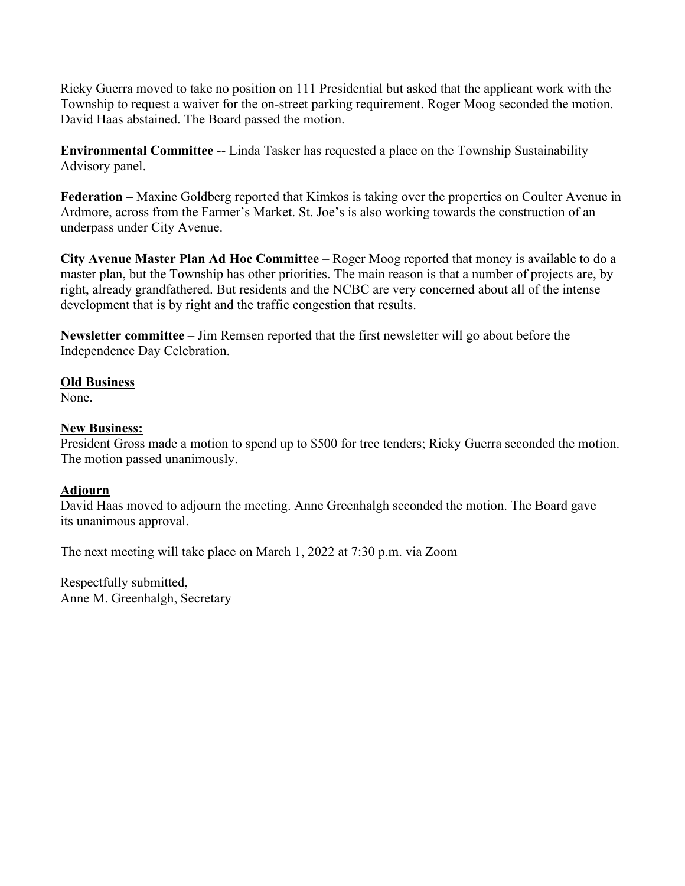Ricky Guerra moved to take no position on 111 Presidential but asked that the applicant work with the Township to request a waiver for the on-street parking requirement. Roger Moog seconded the motion. David Haas abstained. The Board passed the motion.

**Environmental Committee** -- Linda Tasker has requested a place on the Township Sustainability Advisory panel.

**Federation –** Maxine Goldberg reported that Kimkos is taking over the properties on Coulter Avenue in Ardmore, across from the Farmer's Market. St. Joe's is also working towards the construction of an underpass under City Avenue.

**City Avenue Master Plan Ad Hoc Committee** – Roger Moog reported that money is available to do a master plan, but the Township has other priorities. The main reason is that a number of projects are, by right, already grandfathered. But residents and the NCBC are very concerned about all of the intense development that is by right and the traffic congestion that results.

**Newsletter committee** – Jim Remsen reported that the first newsletter will go about before the Independence Day Celebration.

#### **Old Business**

None.

#### **New Business:**

President Gross made a motion to spend up to \$500 for tree tenders; Ricky Guerra seconded the motion. The motion passed unanimously.

### **Adjourn**

David Haas moved to adjourn the meeting. Anne Greenhalgh seconded the motion. The Board gave its unanimous approval.

The next meeting will take place on March 1, 2022 at 7:30 p.m. via Zoom

Respectfully submitted, Anne M. Greenhalgh, Secretary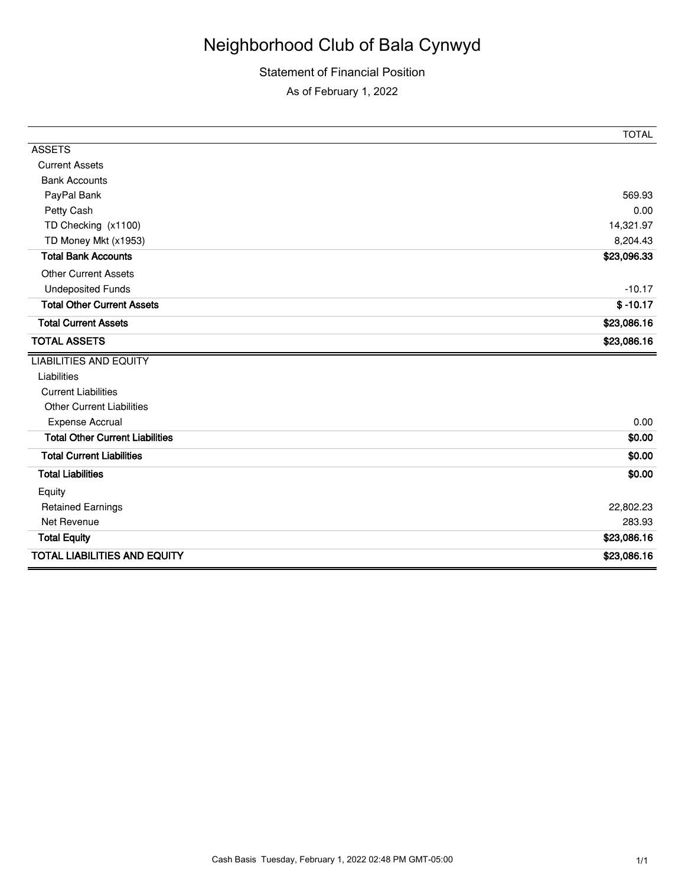# Neighborhood Club of Bala Cynwyd

# Statement of Financial Position

As of February 1, 2022

|                                        | <b>TOTAL</b> |
|----------------------------------------|--------------|
| <b>ASSETS</b>                          |              |
| <b>Current Assets</b>                  |              |
| <b>Bank Accounts</b>                   |              |
| PayPal Bank                            | 569.93       |
| Petty Cash                             | 0.00         |
| TD Checking (x1100)                    | 14,321.97    |
| TD Money Mkt (x1953)                   | 8,204.43     |
| <b>Total Bank Accounts</b>             | \$23,096.33  |
| <b>Other Current Assets</b>            |              |
| <b>Undeposited Funds</b>               | $-10.17$     |
| <b>Total Other Current Assets</b>      | $$ -10.17$   |
| <b>Total Current Assets</b>            | \$23,086.16  |
| <b>TOTAL ASSETS</b>                    | \$23,086.16  |
| <b>LIABILITIES AND EQUITY</b>          |              |
| Liabilities                            |              |
| <b>Current Liabilities</b>             |              |
| <b>Other Current Liabilities</b>       |              |
| <b>Expense Accrual</b>                 | 0.00         |
| <b>Total Other Current Liabilities</b> | \$0.00       |
| <b>Total Current Liabilities</b>       | \$0.00       |
| <b>Total Liabilities</b>               | \$0.00       |
| Equity                                 |              |
| <b>Retained Earnings</b>               | 22,802.23    |
| Net Revenue                            | 283.93       |
| <b>Total Equity</b>                    | \$23,086.16  |
| <b>TOTAL LIABILITIES AND EQUITY</b>    | \$23,086.16  |